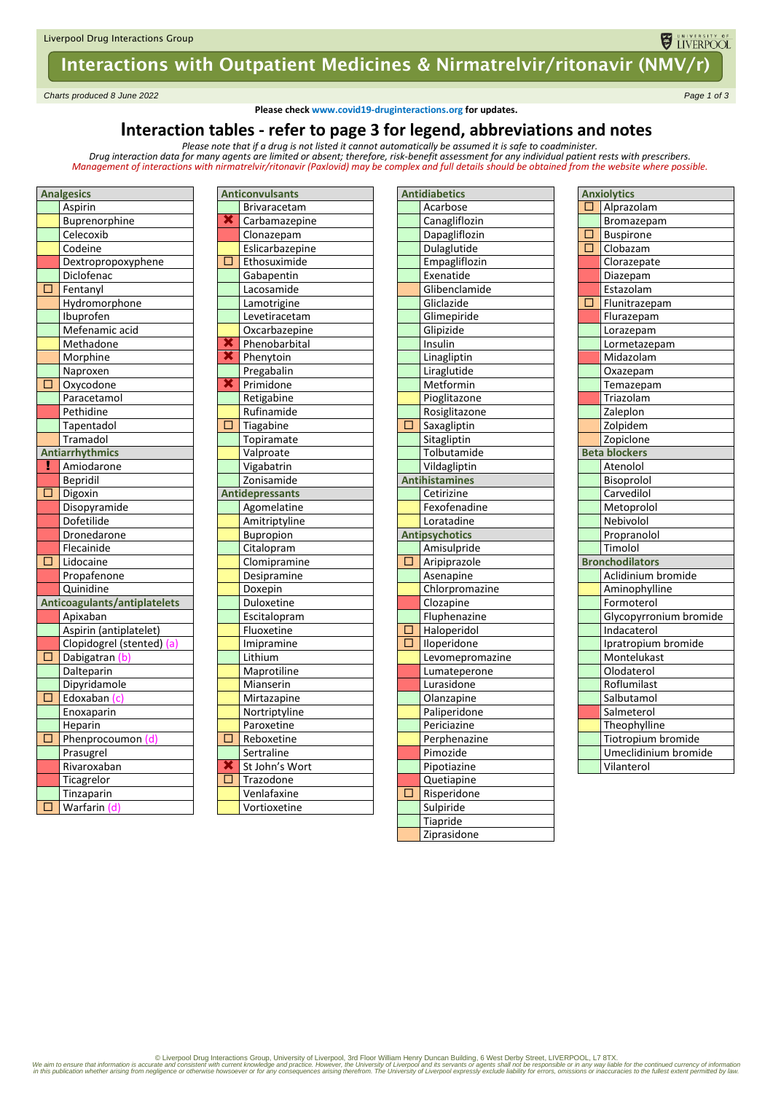# Interactions with Outpatient Medicines & Nirmatrelvir/ritonavir (NMV/r)

*Charts produced 8 June 2022 Page 1 of 3*

**Please check www.covid19-druginteractions.org for updates.**

UNIVERSITY OF

### **Interaction tables - refer to page 3 for legend, abbreviations and notes**

*Please note that if a drug is not listed it cannot automatically be assumed it is safe to coadminister. Drug interaction data for many agents are limited or absent; therefore, risk-benefit assessment for any individual patient rests with prescribers.* 

*Management of interactions with nirmatrelvir/ritonavir (Paxlovid) may be complex and full details should be obtained from the website where possible.*

| <b>Analgesics</b> |                              |  |  |  |
|-------------------|------------------------------|--|--|--|
|                   | Aspirin                      |  |  |  |
|                   | Buprenorphine                |  |  |  |
|                   | Celecoxib                    |  |  |  |
|                   | Codeine                      |  |  |  |
|                   | Dextropropoxyphene           |  |  |  |
|                   | Diclofenac                   |  |  |  |
| п                 | Fentanyl                     |  |  |  |
|                   | Hydromorphone                |  |  |  |
|                   | Ibuprofen                    |  |  |  |
|                   | Mefenamic acid               |  |  |  |
|                   | Methadone                    |  |  |  |
|                   | Morphine                     |  |  |  |
|                   | Naproxen                     |  |  |  |
| $\overline{\Box}$ | Oxycodone                    |  |  |  |
|                   | Paracetamol                  |  |  |  |
|                   | Pethidine                    |  |  |  |
|                   | Tapentadol                   |  |  |  |
|                   | Tramadol                     |  |  |  |
|                   | <b>Antiarrhythmics</b>       |  |  |  |
| y                 | Amiodarone                   |  |  |  |
|                   | <b>Bepridil</b>              |  |  |  |
| $\overline{\Box}$ | Digoxin                      |  |  |  |
|                   | Disopyramide                 |  |  |  |
|                   | Dofetilide                   |  |  |  |
|                   | Dronedarone                  |  |  |  |
|                   | Flecainide                   |  |  |  |
| $\overline{\Box}$ | Lidocaine                    |  |  |  |
|                   | Propafenone                  |  |  |  |
|                   | Quinidine                    |  |  |  |
|                   | Anticoagulants/antiplatelets |  |  |  |
|                   | Apixaban                     |  |  |  |
|                   | Aspirin (antiplatelet)       |  |  |  |
|                   | Clopidogrel (stented) (a)    |  |  |  |
| □                 | Dabigatran                   |  |  |  |
|                   | Dalteparin                   |  |  |  |
|                   | Dipyridamole                 |  |  |  |
| Ō                 | Edoxaban (c)                 |  |  |  |
|                   | Enoxaparin                   |  |  |  |
|                   | Heparin                      |  |  |  |
| □                 | Phenprocoumon (d)            |  |  |  |
|                   | Prasugrel                    |  |  |  |
|                   | Rivaroxaban                  |  |  |  |
|                   | Ticagrelor                   |  |  |  |
|                   | Tinzaparin                   |  |  |  |
| $\overline{\Box}$ | Warfarin (d)                 |  |  |  |

| <b>Anticonvulsants</b>  |                        |  |  |
|-------------------------|------------------------|--|--|
|                         | Brivaracetam           |  |  |
| Х                       | Carbamazepine          |  |  |
|                         | Clonazepam             |  |  |
|                         | Eslicarbazepine        |  |  |
| $\overline{\Box}$       | Ethosuximide           |  |  |
|                         | Gabapentin             |  |  |
|                         | Lacosamide             |  |  |
|                         | Lamotrigine            |  |  |
|                         | Levetiracetam          |  |  |
|                         | Oxcarbazepine          |  |  |
| $\overline{\mathbf{x}}$ | Phenobarbital          |  |  |
| ×                       | Phenytoin              |  |  |
|                         | Pregabalin             |  |  |
| ×                       | Primidone              |  |  |
|                         | Retigabine             |  |  |
|                         | Rufinamide             |  |  |
| $\square$               | Tiagabine              |  |  |
|                         | Topiramate             |  |  |
|                         | Valproate              |  |  |
| Vigabatrin              |                        |  |  |
| Zonisamide              |                        |  |  |
|                         | <b>Antidepressants</b> |  |  |
|                         | Agomelatine            |  |  |
|                         | Amitriptyline          |  |  |
|                         | <b>Bupropion</b>       |  |  |
|                         | Citalopram             |  |  |
|                         | Clomipramine           |  |  |
|                         | Desipramine            |  |  |
|                         | Doxepin                |  |  |
|                         | Duloxetine             |  |  |
|                         | Escitalopram           |  |  |
|                         | Fluoxetine             |  |  |
|                         | Imipramine             |  |  |
|                         | Lithium                |  |  |
|                         | Maprotiline            |  |  |
|                         | Mianserin              |  |  |
|                         | Mirtazapine            |  |  |
|                         | Nortriptyline          |  |  |
|                         | Paroxetine             |  |  |
| $\overline{\square}$    | Reboxetine             |  |  |
|                         | Sertraline             |  |  |
| ×                       | St John's Wort         |  |  |
| □                       | Trazodone              |  |  |
|                         | Venlafaxine            |  |  |
|                         | Vortioxetine           |  |  |

|                   | <b>Antidiabetics</b>       |  |  |
|-------------------|----------------------------|--|--|
|                   | Acarbose                   |  |  |
|                   | Canagliflozin              |  |  |
|                   | Dapagliflozin              |  |  |
| Dulaglutide       |                            |  |  |
| Empagliflozin     |                            |  |  |
|                   | Exenatide                  |  |  |
| Glibenclamide     |                            |  |  |
|                   | Gliclazide                 |  |  |
|                   | Glimepiride                |  |  |
|                   | Glipizide                  |  |  |
|                   | <b>Insulin</b>             |  |  |
|                   | Linagliptin                |  |  |
|                   | Liraglutide                |  |  |
|                   | Metformin                  |  |  |
|                   | Pioglitazone               |  |  |
|                   | Rosiglitazone              |  |  |
| $\overline{\Box}$ | Saxagliptin                |  |  |
|                   | Sitagliptin                |  |  |
|                   | Tolbutamide                |  |  |
| Vildagliptin      |                            |  |  |
|                   | <b>Antihistamines</b>      |  |  |
|                   | Cetirizine                 |  |  |
|                   | Fexofenadine               |  |  |
|                   | Loratadine                 |  |  |
|                   | <b>Antipsychotics</b>      |  |  |
|                   | Amisulpride                |  |  |
| □                 | Aripiprazole               |  |  |
|                   | Asenapine                  |  |  |
|                   | Chlorpromazine             |  |  |
|                   | Clozapine                  |  |  |
| Г<br>ו            | Fluphenazine               |  |  |
| $\overline{\Box}$ | Haloperidol                |  |  |
|                   | <b>Iloperidone</b>         |  |  |
|                   | Levomepromazine            |  |  |
|                   | Lumateperone<br>Lurasidone |  |  |
|                   | Olanzapine                 |  |  |
|                   | Paliperidone               |  |  |
|                   | Periciazine                |  |  |
|                   | Perphenazine               |  |  |
|                   | Pimozide                   |  |  |
|                   | Pipotiazine                |  |  |
|                   | Quetiapine                 |  |  |
| □                 | Risperidone                |  |  |
|                   | Sulpiride                  |  |  |
|                   | Tiapride                   |  |  |
|                   | Ziprasidone                |  |  |
|                   |                            |  |  |

| <b>Anxiolytics</b> |                        |  |  |
|--------------------|------------------------|--|--|
| $\overline{\Box}$  | Alprazolam             |  |  |
|                    | Bromazepam             |  |  |
| Ō                  | <b>Buspirone</b>       |  |  |
| $\overline{\Box}$  | Clobazam               |  |  |
|                    | Clorazepate            |  |  |
|                    | Diazepam               |  |  |
|                    | Estazolam              |  |  |
| П                  | Flunitrazepam          |  |  |
|                    | Flurazepam             |  |  |
|                    | Lorazepam              |  |  |
|                    | Lormetazepam           |  |  |
|                    | Midazolam              |  |  |
|                    | Oxazepam               |  |  |
|                    | Temazepam              |  |  |
|                    | Triazolam              |  |  |
|                    | Zaleplon               |  |  |
|                    | Zolpidem               |  |  |
| Zopiclone          |                        |  |  |
|                    | <b>Beta blockers</b>   |  |  |
|                    | Atenolol               |  |  |
|                    | Bisoprolol             |  |  |
|                    | Carvedilol             |  |  |
|                    | Metoprolol             |  |  |
|                    | Nebivolol              |  |  |
|                    | Propranolol            |  |  |
|                    | Timolol                |  |  |
|                    | <b>Bronchodilators</b> |  |  |
|                    | Aclidinium bromide     |  |  |
|                    | Aminophylline          |  |  |
|                    | Formoterol             |  |  |
|                    | Glycopyrronium bromide |  |  |
|                    | Indacaterol            |  |  |
|                    | Ipratropium bromide    |  |  |
|                    | Montelukast            |  |  |
|                    | Olodaterol             |  |  |
|                    | Roflumilast            |  |  |
|                    | Salbutamol             |  |  |
|                    | Salmeterol             |  |  |
|                    | Theophylline           |  |  |
|                    | Tiotropium bromide     |  |  |
|                    | Umeclidinium bromide   |  |  |
|                    | Vilanterol             |  |  |

© Liverpool Drug Interactions Group, University of Liverpool, 3rd Floor William Henry Duncan Building, 6 West Derby Street, LIVERPOOL, L7 8TX.<br>We aim to ensure that information is accurate and consistent with current knowl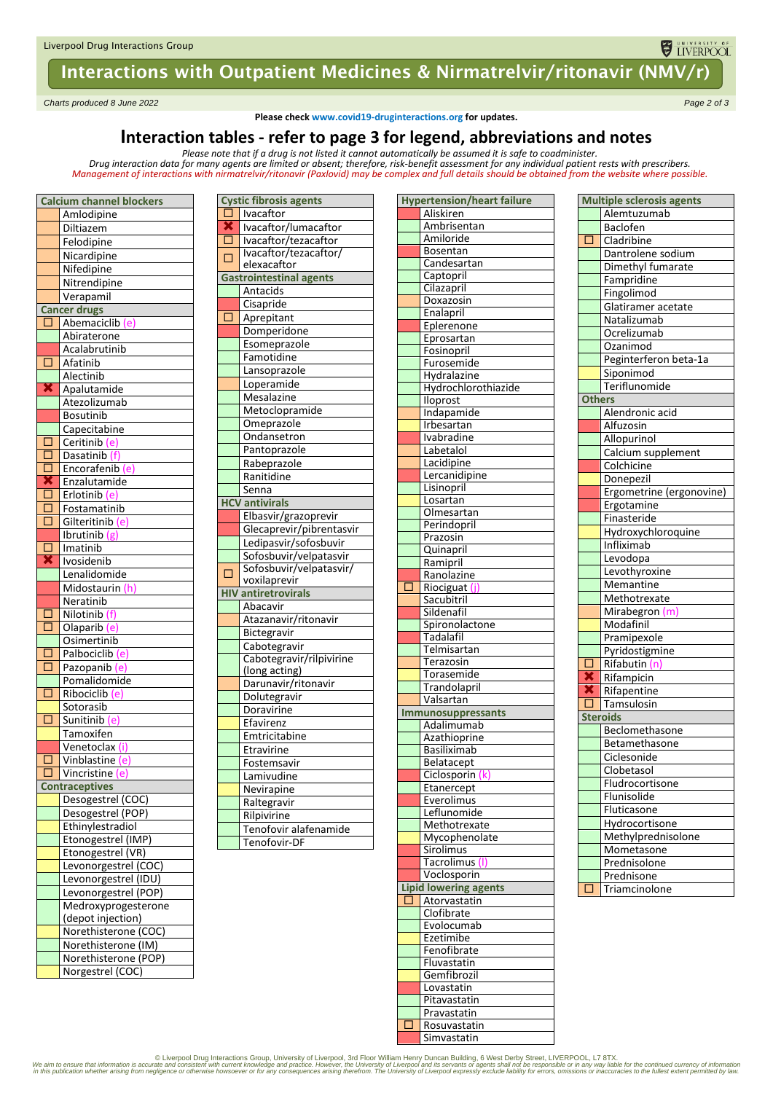# Interactions with Outpatient Medicines & Nirmatrelvir/ritonavir (NMV/r)

*Charts produced 8 June 2022 Page 2 of 3*

**Please check www.covid19-druginteractions.org for updates.**

## **Interaction tables - refer to page 3 for legend, abbreviations and notes**

Please note that if a drug is not listed it cannot automatically be assumed it is safe to coadminister.<br>Drug interaction data for many agents are limited or absent; therefore, risk-benefit assessment for any individual pat *Management of interactions with nirmatrelvir/ritonavir (Paxlovid) may be complex and full details should be obtained from the website where possible.*

|                             | <b>Calcium channel blockers</b> |  |  |  |
|-----------------------------|---------------------------------|--|--|--|
|                             | Amlodipine                      |  |  |  |
|                             | Diltiazem                       |  |  |  |
|                             | Felodipine                      |  |  |  |
|                             | Nicardipine                     |  |  |  |
|                             | Nifedipine                      |  |  |  |
|                             | Nitrendipine                    |  |  |  |
|                             | Verapamil                       |  |  |  |
|                             | <b>Cancer drugs</b>             |  |  |  |
| Ō                           | Abemaciclib (e)                 |  |  |  |
|                             | Abiraterone                     |  |  |  |
|                             | Acalabrutinib                   |  |  |  |
| $\Box$                      | Afatinib                        |  |  |  |
|                             | Alectinib                       |  |  |  |
| ×                           | Apalutamide                     |  |  |  |
|                             | Atezolizumab                    |  |  |  |
|                             | <b>Bosutinib</b>                |  |  |  |
|                             |                                 |  |  |  |
|                             | Capecitabine                    |  |  |  |
| С<br>∃<br>$\overline{\Box}$ | Ceritinib (e)                   |  |  |  |
|                             | Dasatinib (f)                   |  |  |  |
| $\overline{\Box}$           | Encorafenib (e)                 |  |  |  |
| $\frac{\mathbf{x}}{\Box}$   | Enzalutamide                    |  |  |  |
|                             | Erlotinib (e)                   |  |  |  |
| $\overline{\Box}$           | Fostamatinib                    |  |  |  |
| $\Box$                      | Gilteritinib (e)                |  |  |  |
|                             | Ibrutinib (g)                   |  |  |  |
| $\overline{\Box}$           | Imatinib                        |  |  |  |
| ×                           | Ivosidenib                      |  |  |  |
|                             | Lenalidomide                    |  |  |  |
|                             | Midostaurin (h)                 |  |  |  |
|                             | Neratinib                       |  |  |  |
| □                           | Nilotinib (f)                   |  |  |  |
| Ō                           | Olaparib (e)                    |  |  |  |
|                             | Osimertinib                     |  |  |  |
| □                           | Palbociclib (e)                 |  |  |  |
| $\Box$                      | Pazopanib (e)                   |  |  |  |
|                             | Pomalidomide                    |  |  |  |
| $\Box$                      | Ribociclib (e)                  |  |  |  |
|                             | Sotorasib                       |  |  |  |
| □                           | Sunitinib (e)                   |  |  |  |
|                             | Tamoxifen                       |  |  |  |
|                             | Venetoclax (i)                  |  |  |  |
| Õ                           | Vinblastine (e)                 |  |  |  |
| $\Box$<br>Vincristine (e)   |                                 |  |  |  |
|                             | <b>Contraceptives</b>           |  |  |  |
|                             | Desogestrel (COC)               |  |  |  |
|                             | Desogestrel (POP)               |  |  |  |
|                             | Ethinylestradiol                |  |  |  |
|                             | Etonogestrel (IMP)              |  |  |  |
|                             | Etonogestrel (VR)               |  |  |  |
|                             | Levonorgestrel (COC)            |  |  |  |
|                             | Levonorgestrel (IDU)            |  |  |  |
|                             | Levonorgestrel (POP)            |  |  |  |
|                             | Medroxyprogesterone             |  |  |  |
|                             | (depot injection)               |  |  |  |
|                             | Norethisterone (COC)            |  |  |  |
|                             | Norethisterone (IM)             |  |  |  |
|                             | Norethisterone (POP)            |  |  |  |
|                             | Norgestrel (COC)                |  |  |  |
|                             |                                 |  |  |  |

|                   | $\mu$ uxioviuj muy b                              |  |
|-------------------|---------------------------------------------------|--|
|                   | <b>Cystic fibrosis agents</b>                     |  |
| $\Box$            | Ivacaftor                                         |  |
| Э<br>≤<br>∃       | Ivacaftor/lumacaftor                              |  |
| Ţ                 | Ivacaftor/tezacaftor                              |  |
| □                 | lvacaftor/tezacaftor/                             |  |
|                   | elexacaftor                                       |  |
|                   | <b>Gastrointestinal agents</b>                    |  |
|                   | Antacids                                          |  |
|                   | Cisapride                                         |  |
| $\overline{\Box}$ | Aprepitant                                        |  |
|                   | Domperidone                                       |  |
|                   | Esomeprazole                                      |  |
|                   | Famotidine                                        |  |
|                   | Lansoprazole                                      |  |
|                   | Loperamide                                        |  |
|                   | Mesalazine                                        |  |
|                   | Metoclopramide                                    |  |
|                   | Omeprazole                                        |  |
|                   | Ondansetron                                       |  |
|                   | Pantoprazole                                      |  |
|                   | Rabeprazole                                       |  |
|                   | Ranitidine                                        |  |
|                   | Senna                                             |  |
|                   | <b>HCV antivirals</b>                             |  |
|                   | Elbasvir/grazoprevir                              |  |
|                   | Glecaprevir/pibrentasvir                          |  |
|                   | Ledipasvir/sofosbuvir                             |  |
|                   | Sofosbuvir/velpatasvir<br>Sofosbuvir/velpatasvir/ |  |
| □                 | voxilaprevir                                      |  |
|                   | <b>HIV</b> antiretrovirals                        |  |
|                   | Abacavir                                          |  |
|                   | Atazanavir/ritonavir                              |  |
|                   | Bictegravir                                       |  |
|                   | Cabotegravir                                      |  |
|                   | Cabotegravir/rilpivirine                          |  |
|                   | (long acting)                                     |  |
|                   | Darunavir/ritonavir                               |  |
|                   | Dolutegravir                                      |  |
|                   | Doravirine                                        |  |
|                   | Efavirenz                                         |  |
|                   | Emtricitabine                                     |  |
|                   | Etravirine                                        |  |
|                   | Fostemsavir                                       |  |
|                   | Lamivudine                                        |  |
|                   | Nevirapine                                        |  |
|                   | Raltegravir                                       |  |
|                   | Rilpivirine                                       |  |
|                   | Tenofovir alafenamide                             |  |
|                   | Tenofovir-DF                                      |  |
|                   |                                                   |  |

|        | <b>Hypertension/heart failure</b> |
|--------|-----------------------------------|
|        | Aliskiren                         |
|        | Ambrisentan                       |
|        | Amiloride                         |
|        | <b>Bosentan</b>                   |
|        | Candesartan                       |
|        | Captopril                         |
|        | Cilazapril                        |
|        | Doxazosin                         |
|        | Enalapril                         |
|        | Eplerenone                        |
|        | Eprosartan                        |
|        | Fosinopril<br>Furosemide          |
|        | Hydralazine                       |
|        | Hydrochlorothiazide               |
|        | lloprost                          |
|        | Indapamide                        |
|        | Irbesartan                        |
|        | Ivabradine                        |
|        | Labetalol                         |
|        | Lacidipine                        |
|        | Lercanidipine                     |
|        | Lisinopril                        |
|        | Losartan                          |
|        | Olmesartan                        |
|        | Perindopril                       |
|        | Prazosin                          |
|        | Quinapril                         |
|        | Ramipril                          |
|        | Ranolazine                        |
| Е      | Riociguat (j                      |
|        | Sacubitril                        |
|        | Sildenafil                        |
|        | Spironolactone<br>Tadalafil       |
|        | Telmisartan                       |
|        | Terazosin                         |
|        | Torasemide                        |
|        | Trandolapril                      |
|        | Valsartan                         |
|        | Immunosuppressants                |
|        | Adalimumab                        |
|        | Azathioprine                      |
|        | Basiliximab                       |
|        | <b>Belatacept</b>                 |
|        | Ciclosporin                       |
|        | Etanercept                        |
|        | Everolimus                        |
|        | Leflunomide                       |
|        | Methotrexate                      |
|        | Mycophenolate<br>Sirolimus        |
|        | Tacrolimus (I)                    |
|        | Voclosporin                       |
|        | <b>Lipid lowering agents</b>      |
| L      | Atorvastatin                      |
|        | Clofibrate                        |
|        | Evolocumab                        |
|        | Ezetimibe                         |
|        | Fenofibrate                       |
|        | Fluvastatin                       |
|        | Gemfibrozil                       |
|        | Lovastatin                        |
|        | Pitavastatin                      |
|        | Pravastatin                       |
| ┒<br>L | Rosuvastatin                      |
|        | Simvastatin                       |

|                    | <b>Multiple sclerosis agents</b> |  |  |
|--------------------|----------------------------------|--|--|
|                    | Alemtuzumab                      |  |  |
|                    | Baclofen                         |  |  |
| Π                  | Cladribine                       |  |  |
|                    | Dantrolene sodium                |  |  |
|                    | Dimethyl fumarate                |  |  |
|                    | Fampridine                       |  |  |
| Fingolimod         |                                  |  |  |
| Glatiramer acetate |                                  |  |  |
| Natalizumab        |                                  |  |  |
| Ocrelizumab        |                                  |  |  |
|                    | Ozanimod                         |  |  |
|                    | Peginterferon beta-1a            |  |  |
|                    | Siponimod                        |  |  |
|                    | Teriflunomide                    |  |  |
| Others             |                                  |  |  |
|                    | Alendronic acid                  |  |  |
|                    | Alfuzosin                        |  |  |
|                    | Allopurinol                      |  |  |
|                    | Calcium supplement               |  |  |
|                    | Colchicine                       |  |  |
|                    | Donepezil                        |  |  |
|                    | Ergometrine (ergonovine)         |  |  |
|                    | Ergotamine                       |  |  |
| Finasteride        |                                  |  |  |
| Hydroxychloroquine |                                  |  |  |
| Infliximab         |                                  |  |  |
| Levodopa           |                                  |  |  |
| Levothyroxine      |                                  |  |  |
|                    | Memantine                        |  |  |
|                    | Methotrexate                     |  |  |
|                    | Mirabegron (m)                   |  |  |
|                    | Modafinil                        |  |  |
|                    | Pramipexole                      |  |  |
|                    | Pyridostigmine                   |  |  |
| П                  | Rifabutin (n                     |  |  |
| $\bar{\textbf{x}}$ | Rifampicin                       |  |  |
| ×                  | Rifapentine                      |  |  |
| □                  | Tamsulosin                       |  |  |
|                    | Steroids                         |  |  |
|                    | Beclomethasone                   |  |  |
|                    | Betamethasone                    |  |  |
|                    | Ciclesonide                      |  |  |
|                    | Clobetasol                       |  |  |
|                    | Fludrocortisone                  |  |  |
|                    | Flunisolide                      |  |  |
|                    | Fluticasone                      |  |  |
|                    | Hydrocortisone                   |  |  |
|                    | Methylprednisolone               |  |  |
|                    | Mometasone                       |  |  |
|                    | Prednisolone                     |  |  |
|                    | Prednisone                       |  |  |
| Г                  | Triamcinolone                    |  |  |

**ELIVERPOOL** 

© Liverpool Drug Interactions Group, University of Liverpool, 3rd Floor William Henry Duncan Building, 6 West Derby Street, LIVERPOOL, L7 8TX.<br>We aim to ensure that information is accurate and consistent with current knowl